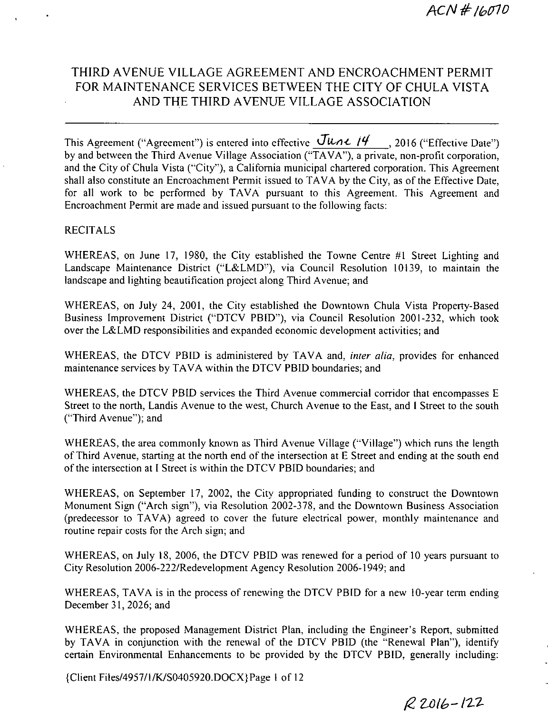# THIRD AVENUE VILLAGE AGREEMENT AND ENCROACHMENT PERMIT FOR MAINTENANCE SERVICES BETWEEN THE CITY OF CHULA VISTA AND THE THIRD AVENUE VILLAGE ASSOCIATION

This Agreement ("Agreement") is entered into effective  $\frac{\text{June } \mu}{\text{.}}$ , 2016 ("Effective Date") by and between the Third Avenue Village Association ("TAVA"), a private, non-profit corporation, and the City of Chula Vista ("City"), a California municipal chartered corporation. This Agreement shall also constitute an Encroachment Permit issued to TAVA by the City, as of the Effective Date, for all work to be performed by TAVA pursuant to this Agreement. This Agreement and Encroachment Permit are made and issued pursuant to the following facts:

#### RECITALS

WHEREAS, on June 17, 1980, the City established the Towne Centre #1 Street Lighting and Landscape Maintenance District ("L&LMD"), via Council Resolution 10139, to maintain the landscape and lighting beautification project along Third Avenue; and

WHEREAS, on July 24, 2001, the City established the Downtown Chula Vista Property-Based Business Improvement District ("DTCV PBID"), via Council Resolution 2001-232, which took over the L& LMD responsibilities and expanded economic development activities; and

WHEREAS, the DTCV PBID is administered by TAVA and, *inter alia*, provides for enhanced maintenance services by TAVA within the DTCV PBID boundaries; and

WHEREAS, the DTCV PBID services the Third Avenue commercial corridor that encompasses E Street to the north, Landis Avenue to the west, Church Avenue to the East, and I Street to the south ("Third Avenue"); and

WHEREAS, the area commonly known as Third Avenue Village ("Village") which runs the length of Third Avenue, starting at the north end of the intersection at E Street and ending at the south end of the intersection at I Street is within the DTCV PBID boundaries; and

WHEREAS, on September 17, 2002, the City appropriated funding to construct the Downtown Monument Sign ("Arch sign"), via Resolution 2002-378, and the Downtown Business Association (predecessor to TAVA) agreed to cover the future electrical power, monthly maintenance and routine repair costs for the Arch sien; and

WHEREAS, on July 18, 2006, the DTCV PBID was renewed for a period of 10 years pursuant to City Resolution 2006-222/ Redevelopment Agency Resolution 2006-1949; and

WHEREAS, TAVA is in the process of renewing the DTCV PBID for a new 10-year term ending December 31, 2026; and

WHEREAS, the proposed Management District Plan, including the Engineer's Report, submitted by TAVA in conjunction with the renewal of the DTCV PBID (the "Renewal Plan"), identify certain Environmental Enhancements to be provided by the DTCV PBID, generally including:

{Client Files/4957/1/K/S0405920.DOCX}Page 1 of 12

 $R2016 - 122$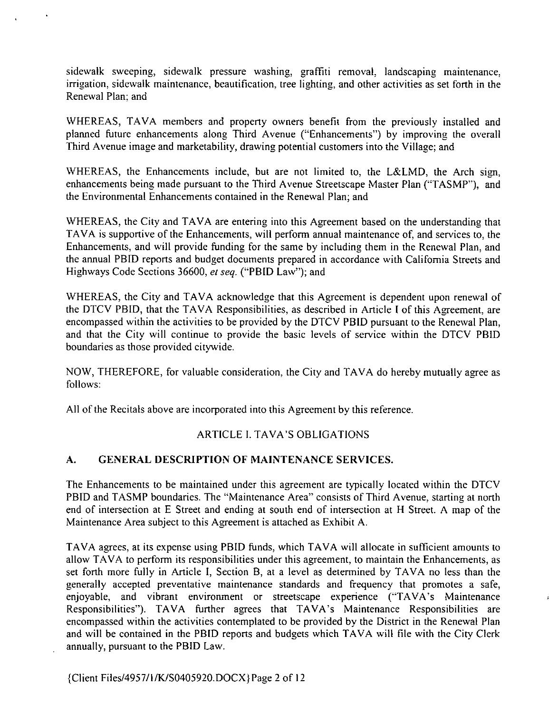sidewalk sweeping, sidewalk pressure washing, graffiti removal, landscaping maintenance, irrigation, sidewalk maintenance, beautification, tree lighting, and other activities as set forth in the Renewal Plan; and

WHEREAS, TAVA members and property owners benefit from the previously installed and planned future enhancements along Third Avenue ("Enhancements") by improving the overall Third Avenue image and marketability, drawing potential customers into the Village; and

WHEREAS, the Enhancements include, but are not limited to, the L&LMD, the Arch sign, enhancements being made pursuant to the Third Avenue Streetscape Master Plan ("TASMP"), and the Environmental Enhancements contained in the Renewal Plan; and

WHEREAS, the City and TAVA are entering into this Agreement based on the understanding that TAVA is supportive of the Enhancements, will perform annual maintenance of, and services to, the Enhancements, and will provide funding for the same by including them in the Renewal Plan, and the annual PBID reports and budget documents prepared in accordance with California Streets and Highways Code Sections 36600, et seq. ("PBID Law"); and

WHEREAS, the City and TAVA acknowledge that this Agreement is dependent upon renewal of the DTCV PBID, that the TAVA Responsibilities, as described in Article I of this Agreement, are encompassed within the activities to be provided by the DTCV PBID pursuant to the Renewal Plan, and that the Ciry will continue to provide the basic levels of service within the DTCV PBID boundaries as those provided citywide.

NOW, THEREFORE, for valuable consideration, the City and TAVA do hereby mutually agree as Follows:

All of the Recitals above are incorporated inro this Agreement by this reference.

### ARTICLE I. TAVA'S OBLIGATIONS

### A. GENERAL DESCRIPTION OF MAINTENANCE SERVICES.

The Enhancements to be maintained under this agreement are typically located within the DTCV PBID and TASMP boundaries. The "Maintenance Area" consists of Third Avenue, starting at north end of intersection at <sup>E</sup> Street and ending at south end of intersection at H Street. A map of the Maintenance Area subject to this Agreement is attached as Exhibit A.

TAVA agrees, at its expense using PBID funds, which TAVA will allocate in sufficient amounts to allow TAVA to perform its responsibilities under this agreement, to maintain the Enhancements, as set forth more fully in Article I, Section B, at a level as determined by TAVA no less than the generally accepted preventative maintenance standards and frequency that promotes a safe, enjoyable, and vibrant environment or streetscape experience ("TAVA's Maintenance Responsibilities"). TAVA further agrees that TAVA's Maintenance Responsibilities are encompassed within the activities contemplated to be provided by the District in the Renewal Plan and will be contained in the PBID reports and budgets which TAVA will file with the City Clerk annually, pursuant to the PBID Law.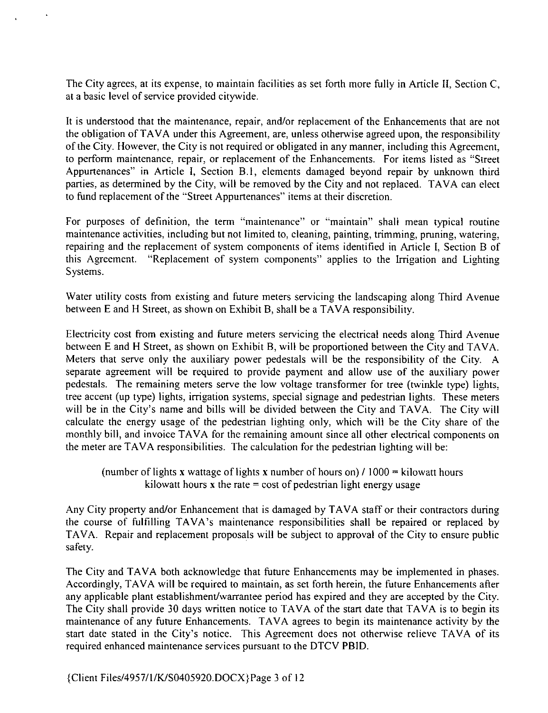The City agrees, at its expense, to maintain facilities as set forth more fully in Article II, Section C, at <sup>a</sup> basic level of service provided citywide.

<sup>t</sup> is understood that the maintenance, repair, andlor replacement of the Enhancements that are not the obligation of TAVA under this Agreement, are, unless otherwise agreed upon, the responsibility of the Ciry. However, the Ciry is not required or obligated in any manner, includine this Agreement, to perform maintenance, repair, or replacement of the Enhancements. For items listed as "Street Appurtenances" in Article I, Section B.1, elements damaged beyond repair by unknown third parties, as determined by the City, will be removed by the Ciry and not replaced. TAVA can elect to fund replacement of the " Street Appurtenances" items at their discretion.

For purposes of definition, the term "maintenance" or "maintain" shall mean typical routine maintenance activities, including but not limited to, cleaning, painting, trimming, pruning, watering, repairing and the replacement of system components of items identified in Article I, Section B of this Agreement. "Replacement of system components" applies to the Irrigation and Lighting Systems.

Water utility costs from existing and future meters servicing the landscaping along Third Avenue between E and H Street, as shown on Exhibit B, shall be a TAVA responsibility.

Electricity cost from existing and future meters servicing the electrical needs along Third Avenue between E and H Street, as shown on Exhibit B, will be proportioned between the City and TAVA. Meters that serve only the auxiliary power pedestals will be the responsibility of the Ciry. A separate agreement will be required to provide payment and allow use of the auxiliary power pedestals. The remaining meters serve the low voltage transformer for tree (twinkle type) lights, tree accent (up type) lights, irrigation systems, special signage and pedestrian lights. These meters will be in the City's name and bills will be divided between the City and TAVA. The City will calculate the energy usage of the pedestrian liehting only, which will be the City share of the monthly bill, and invoice TAVA for the remainine amount since all other electrical components on the meter are TAVA responsibilities. The calculation for the pedestrian lighting will be:

(number of lights x wattage of lights x number of hours on)  $/1000 =$  kilowatt hours kilowatt hours  $x$  the rate = cost of pedestrian light energy usage

Any City property and/or Enhancement that is damaged by TAVA staff or their contractors during the course of fulfilling TAVA's maintenance responsibilities shall be repaired or replaced by TAVA. Repair and replacement proposals will be subject to approval of the City to ensure public safety.

The City and TAVA both acknowledee that future Enhancements may be implemented in phases. Accordinely, TAVA will be required to maintain, as set forth herein, the future Enhancements after any applicable plant establishment/warrantee period has expired and they are accepted by the City. The City shall provide 30 days written notice to TAVA of the start date that TAVA is to begin its maintenance of any future Enhancements. TAVA agrees to begin its maintenance activity by the start date stated in the City's notice. This Agreement does not otherwise relieve TAVA of its required enhanced maintenance services pursuant to the DTCV PBID.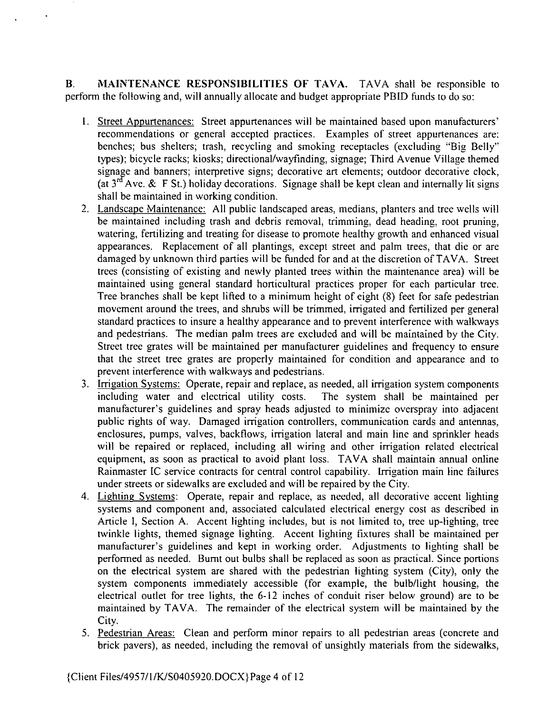B. MAINTENANCE RESPONSIBILITIES OF TAVA. TAVA shall be responsible to perform the following and, will annually allocate and budget appropriate PBID funds to do so:

- 1. Street Appurtenances: Street appurtenances will be maintained based upon manufacturers' recommendations or general accepted practices. Examples of street appurtenances are: benches; bus shelters; trash, recycling and smoking receptacles (excluding "Big Belly" types); bicycle racks; kiosks; directional/wayfinding, signage; Third Avenue Village themed signage and banners; interpretive signs; decorative art elements; outdoor decorative clock, (at  $3^{rd}$  Ave. & F St.) holiday decorations. Signage shall be kept clean and internally lit signs shall be maintained in working condition.
- 2. Landscape Maintenance: All public landscaped areas, medians, planters and tree wells will be maintained including trash and debris removal, trimming, dead heading, root pruning, watering, fertilizing and treating for disease to promote healthy growth and enhanced visual appearances. Replacement of all plantings, except street and palm trees, that die or are damaged by unknown third parties will be funded for and at the discretion of TAVA. Street trees (consisting of existing and newly planted trees within the maintenance area) will be maintained using general standard horticultural practices proper for each particular tree. Tree branches shall be kept lifted to a minimum height of eight (8) feet for safe pedestrian movement around the trees, and shrubs will be trimmed, irrigated and fertilized per general standard practices to insure <sup>a</sup> healthy appearance and to prevent interference with walkways and pedestrians. The median palm trees are excluded and will be maintained by the City. Street tree grates will be maintained per manufacturer guidelines and frequency to ensure that the street tree grates are properly maintained for condition and appearance and to prevent interference with walkways and pedestrians.
- 3. Irrigation Systems: Operate, repair and replace, as needed, all irrigation system components includine water and electrical utility costs. The system shall be maintained per manufacturer's guidelines and spray heads adjusted to minimize overspray into adjacent public rights of way. Damaged irrigation controllers, communication cards and antennas, enclosures, pumps, valves, backflows, irrieation lateral and main line and sprinkler heads will be repaired or replaced, including all wiring and other irrigation related electrical equipment, as soon as practical to avoid plant loss. TAVA shall maintain annual online Rainmaster IC service contracts for central control capability. Irrigation main line failures under streets or sidewalks are excluded and will be repaired by the Ciry.
- 4. Lighting Systems: Operate, repair and replace, as needed, all decorative accent lighting systems and component and, associated calculated electrical energy cost as described in Article I, Section A. Accent lighting includes, but is not limited to, tree up-lighting, tree twinkle lights, themed signage lighting. Accent lighting fixtures shall be maintained per manufacturer's guidelines and kept in working order. Adjustments to lighting shall be performed as needed. Burnt out bulbs shall be replaced as soon as practical. Since portions on the electrical system are shared with the pedestrian lighting system (City), only the system components immediately accessible ( for example, the bulb/light housing, the electrical outlet for tree lights, the  $6-12$  inches of conduit riser below ground) are to be maintained by TAVA. The remainder of the electrical system will be maintained by the City.
- 5. Pedestrian Areas: Clean and perform minor repairs to all pedestrian areas (concrete and brick pavers), as needed, including the removal of unsightly materials from the sidewalks,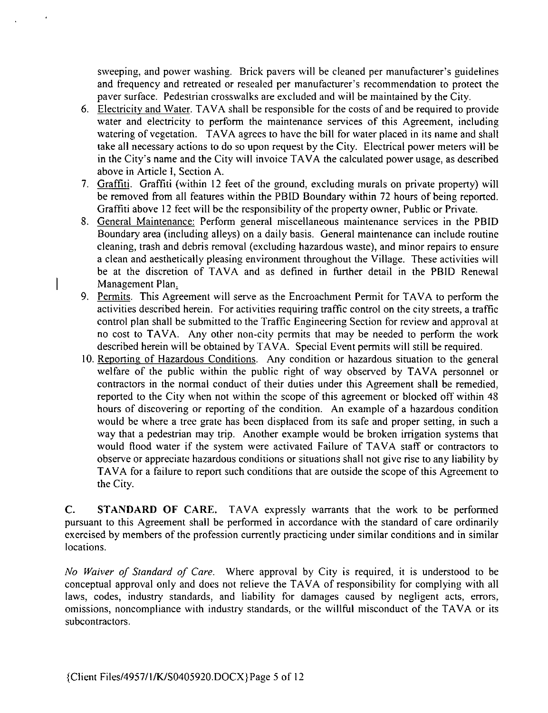sweeping, and power washing. Brick pavers will be cleaned per manufacturer's guidelines and frequency and retreated or resealed per manufacturer's recommendation to protect the paver surface. Pedestrian crosswalks are excluded and will be maintained by the City.

- 6. Electricity and Water. TAVA shall be responsible for the costs of and be required to provide water and electricity to perform the maintenance services of this Agreement, including watering of vegetation. TAVA agrees to have the bill for water placed in its name and shall take all necessary actions to do so upon request by the Ciry. Electrical power meters will be in the City's name and the City will invoice TAVA the calculated power usage, as described above in Article I, Section A.
- 7. Graffiti. Graffiti (within 12 feet of the ground, excluding murals on private property) will be removed from all features within the PBID Boundary within 72 hours of being reported. Graffiti above <sup>12</sup> feet will be the responsibiliry of the property owner, Public or Private.
- 8. General Maintenance: Perform general miscellaneous maintenance services in the PBID Boundary area ( including alleys) on a daily basis. General maintenance can include routine cleaning, trash and debris removal (excluding hazardous waste), and minor repairs to ensure a clean and aesthetically pleasing environment throughout the Village. These activities will be at the discretion of TAVA and as defined in further detail in the PBID Renewal | Management Plan.
	- 9. Permits. This Agreement will serve as the Encroachment Permit for TAVA to perform the activities described herein. For activities requiring traffic control on the ciry streets, a traffic control plan shall be submitted to the Traffic Engineering Section for review and approval at no cost to TAVA. Any other non-city permits that may be needed to perform the work described herein will be obtained by TAVA. Special Event permits will still be required.
	- 10. Reporting of Hazardous Conditions. Any condition or hazardous situation to the general welfare of the public within the public right of way observed by TAVA personnel or contractors in the normal conduct of their duties under this Agreement shall be remedied, reported to the City when not within the scope of this agreement or blocked off within 48 hours of discovering or reporting of the condition. An example of a hazardous condition would be where a tree grate has been displaced from its safe and proper setting, in such a way that a pedestrian may trip. Another example would be broken irrigation systems that would flood water if the system were activated Failure of TAVA staff or contractors to observe or appreciate hazardous conditions or situations shall not give rise to any liability by TAVA for <sup>a</sup> failure to report such conditions that are outside the scope of this Agreement ro the Ciry.

C. STANDARD OF CARE. TAVA expressly warrants that the work to be performed pursuant to this Agreement shall be performed in accordance with the standard of care ordinarily exercised by members of the profession currently practicing under similar conditions and in similar locations.

No Waiver of Standard of Care. Where approval by City is required, it is understood to be conceptual approval only and does not relieve the TAVA of responsibility for complying with all laws, codes, industry standards, and liability for damages caused by negligent acts, errors, omissions, noncompliance with industry standards, or the willful misconduct of the TAVA or its subcontractors.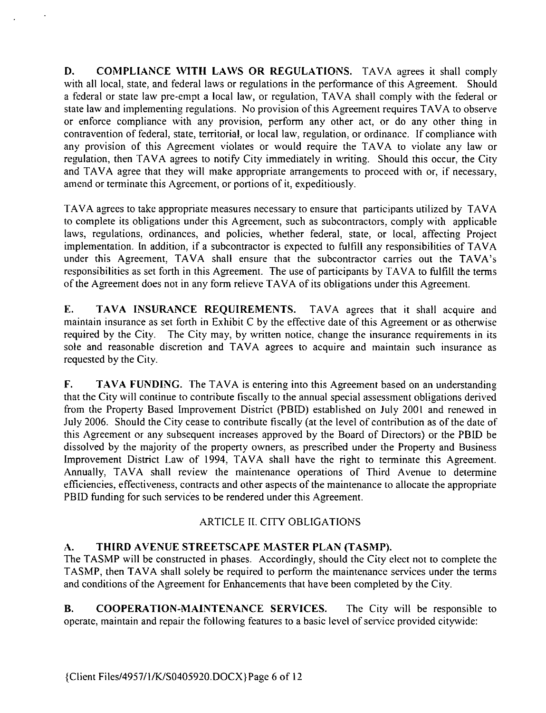D. COMPLIANCE WITH LAWS OR REGULATIONS. TAVA agrees it shall comply with all local, state, and federal laws or regulations in the performance of this Agreement. Should a federal or state law pre-empt a local law, or regulation, TAVA shall comply with the federal or state law and implementing regulations. No provision of this Agreement requires TAVA to observe or enforce compliance with any provision, perform any other act, or do any other thine in contravention of federal, state, territorial, or local law, regulation, or ordinance. If compliance with any provision of this Agreement violates or would require the TAVA to violate any law or regulation, then TAVA agrees to notify City immediately in writing. Should this occur, the City and TAVA agree that they will make appropriate arraneements to proceed with or, if necessary, amend or terminate this Aereement, or portions of it, expeditiously.

TAVA agrees to take appropriate measures necessary to ensure that participants utilized by TAVA to complete its obligations under this Agreement, such as subcontractors, comply with applicable laws, regulations, ordinances, and policies, whether federal, state, or local, affecting Project implementation. In addition, if a subcontractor is expected to fulfill any responsibilities of TAVA under this Agreement, TAVA shall ensure that the subcontractor carries out the TAVA's responsibilities as set forth in this Agreement. The use of participants by TAVA to fulfill the terms of the Agreement does not in any form relieve TAVA of its obligations under this Agreement.

E. TAVA INSURANCE REQUIREMENTS. TAVA agrees that it shall acquire and maintain insurance as set forth in Exhibit C by the effective date of this Aereement or as otherwise required by the City. The City may, by written notice, change the insurance requirements in its sole and reasonable discretion and TAVA agrees to acquire and maintain such insurance as requested by the Ciry.

F. TAVA FUNDING. The TAVA is entering into this Agreement based on an understanding that the City will continue to contribute fiscally to the annual special assessment obligations derived from the Property Based Improvement District (PBID) established on July 2001 and renewed in July 2006. Should the City cease to contribute fiscally ( at the level of contribution as of the date of this Agreement or any subsequent increases approved by the Board of Directors) or the PBID be dissolved by the majority of the property owners, as prescribed under the Property and Business Improvement District Law of 1994, TAVA shall have the right to terminate this Agreement. Annually, TAVA shall review the maintenance operations of Third Avenue to determine efficiencies, effectiveness, contracts and other aspects of the maintenance to allocate the appropriate PBID funding for such services to be rendered under this Agreement.

## ARTICLE II. CITY OBLIGATIONS

### A. THIRD AVENUE STREETSCAPE MASTER PLAN (TASMP).

The TASMP will be constructed in phases. Accordingly, should the City elect not to complete the TASMP, then TAVA shall solely be required to perform the maintenance services under the terms and conditions of the Aereement for Enhancements that have been completed by the City.

B. COOPERATION-MAINTENANCE SERVICES. The City will be responsible to operate, maintain and repair the following features to <sup>a</sup> basic level of service provided citywide: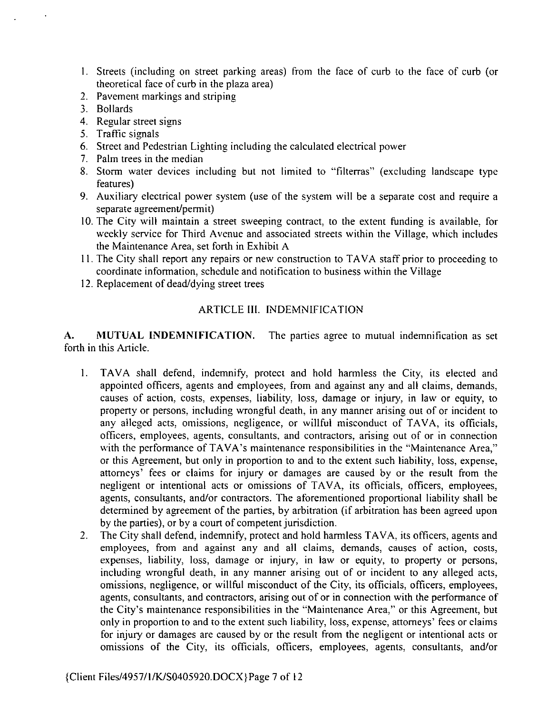- l. Streets ( includine on street parking areas) from the face of curb to the face of curb ( or theoretical face of curb in the plaza area)
- 2. Pavement markings and striping
- 3. Bollards
- 4. Regular street signs
- 5. Traffic sienals
- 6. Street and Pedestrian Liehting including the calculated electrical power
- 7. Palm trees in the median
- 8. Storm water devices including but not limited to "filterras" (excluding landscape type features)
- 9. Auxiliary electrical power system (use of the system will be a separate cost and require a separate agreement/permit)
- 10. The City will maintain a street sweeping contract, to the extent funding is available, for weekly service for Third Avenue and associated streets within the Village, which includes the Maintenance Area, set forth in Exhibit A
- l l. The City shall report any repairs or new construction to TAVA staff prior to proceeding to coordinate information, schedule and notification to business within the Villaee
- 12. Replacement of dead/dying street trees

### ARTICLE III. INDEMNIFICATION

A. MUTUAL INDEMNIFICATION. The parties agree to mutual indemnification as set forth in this Article.

- l. TAVA shall defend, indemnify, protect and hold harmless the Ciry, its elected and appointed officers, agents and employees, from and against any and all claims, demands, causes of action, costs, expenses, liabiliry, loss, damage or injury, in law or equiry, to property or persons, including wrongful death, in any manner arisine out of or incident to any aileeed acts, omissions, negligence, or willful misconduct of TAVA, its officials, officers, employees, aeents, consultants, and contractors, arising out of or in connection with the performance of TAVA's maintenance responsibilities in the "Maintenance Area," or this Aereement, but only in proportion to and to the extent such liabiliry, loss, expense, attorneys' fees or claims for injury or damages are caused by or the result from the negligent or intentional acts or omissions of TAVA, its officials, officers, employees, agents, consultants, and/or contractors. The aforementioned proportional liability shall be determined by agreement of the parties, by arbitration (if arbitration has been agreed upon by the parties), or by <sup>a</sup> court of competent jurisdiction.
- 2. The City shall defend, indemnify, protect and hold harmless TAVA, its officers, agents and employees, from and aQainst any and all claims, demands, causes of action, costs, expenses, liability, loss, damage or injury, in law or equity, to property or persons, includine wrongful death, in any manner arisine out of or incident to any alleged acts, omissions, negligence, or willful misconduct of the City, its officials, officers, employees, agents, consultants, and contractors, arising out of or in connection with the performance of the City's maintenance responsibilities in the "Maintenance Area," or this Agreement, but only in proportion to and to the extent such liabiliry, loss, expense, attomeys' fees or claims for injury or damages are caused by or the result from the negligent or intentional acts or omissions of the City, its officials, officers, employees, agents, consultants, and/or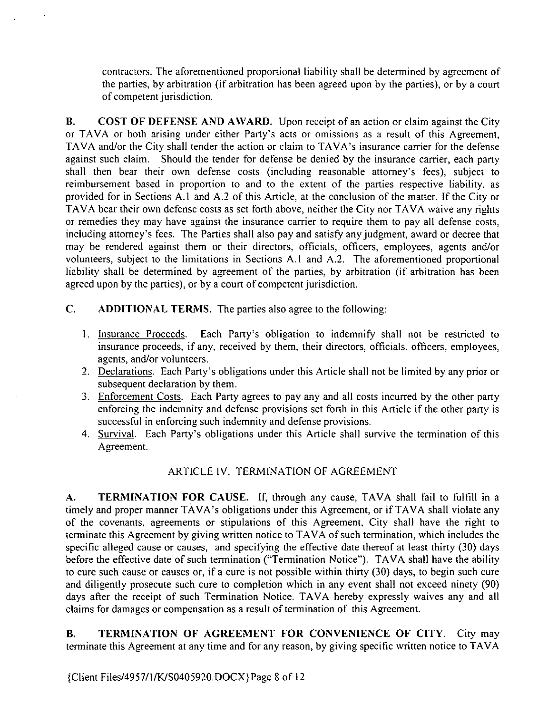contractors. The aforementioned proportional liabiliry shall be determined by agreement of the parties, by arbitration (if arbitration has been agreed upon by the parties), or by a court of competent jurisdiction.

B. COST OF DEFENSE AND AWARD. Upon receipt of an action or claim against the City or TAVA or both arising under either Party's acts or omissions as a result of this Agreement, TAVA and/or the City shall tender the action or claim to TAVA's insurance carrier for the defense against such claim. Should the tender for defense be denied by the insurance carrier, each party shall then bear their own defense costs (including reasonable attorney's fees), subject to reimbursement based in proportion to and to the extent of the parties respective liability, as provided for in Sections A.1 and A.2 of this Article, at the conclusion of the matter. If the City or TAVA bear their own defense costs as set forth above, neither the City nor TAVA waive any rights or remedies they may have against the insurance carrier to require them to pay all defense costs, including attorney's fees. The Parties shall also pay and satisfy any judgment, award or decree that may be rendered against them or their directors, officials, officers, employees, agents and/or volunteers, subject to the limitations in Sections A. <sup>1</sup> and A.2. The aforementioned proportional liability shall be determined by agreement of the parties, by arbitration (if arbitration has been agreed upon by the parties), or by a court of competent jurisdiction.

- C. ADDITIONAL TERMS. The parties also agree to the following:
	- 1. Insurance Proceeds. Each Party's obligation to indemnify shall not be restricted to insurance proceeds, if any, received by them, their directors, officials, officers, employees, agents, and/or volunteers.
	- 2. Declarations. Each Party's obligations under this Article shall not be limited by any prior or subsequent declaration by them.
	- 3. Enforcement Costs. Each Party agrees to pay any and all costs incurred by the other party enforcing the indemnity and defense provisions set forth in this Article if the other party is successful in enforcing such indemnity and defense provisions.
	- 4. Survival. Each Party's obligations under this Article shall survive the termination of this Agreement.

### ARTICLE N. TERMINATION OF AGREEMENT

A. TERMINATION FOR CAUSE. If, through any cause, TAVA shall fail to fulfill in a timely and proper manner TAVA's obligations under this Agreement, or if TAVA shall violate any of the covenants, aereements or stipulations of this Agreement, Ciry shall have the right to terminate this Agreement by giving written notice to TAVA of such termination, which includes the specific alleged cause or causes, and specifying the effective date thereof at least thirty (30) days before the effective date of such termination ("Termination Notice"). TAVA shall have the ability to cure such cause or causes or, if <sup>a</sup> cure is not possible within thirty (30) days, to begin such cure and diligently prosecute such cure to completion which in any event shall not exceed ninety (90) days after the receipt of such Termination Notice. TAVA hereby expressly waives any and all claims for damages or compensation as a result of termination of this Agreement.

B. TERMINATION OF AGREEMENT FOR CONVENIENCE OF CITY. City may terminate this Agreement at any time and for any reason, by giving specific written notice to TAVA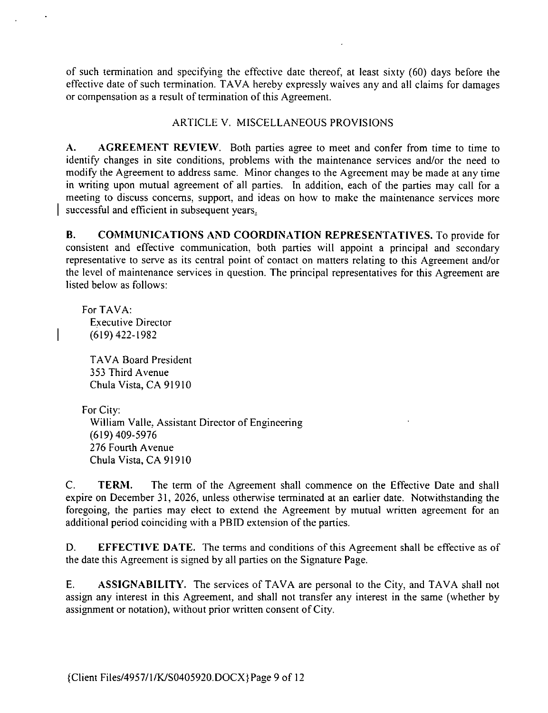of such termination and specifyine the effective date thereof, at least sixty ( 60) days before the effective date of such termination. TAVA hereby expressly waives any and all claims for damages or compensation as <sup>a</sup> result of termination of this Agreement.

#### ARTICLE V. MISCELLANEOUS PROVISIONS

A. AGREEMENT REVIEW. Both parties agree to meet and confer from time to time to identify changes in site conditions, problems with the maintenance services and/or the need to modify the Agreement to address same. Minor changes to the Agreement may be made at any time in writing upon mutual agreement of all parties. In addition, each of the parties may call for a meetine to discuss concems, support, and ideas on how to make the maintenance services more successful and efficient in subsequent years.

B. COMMUNICATIONS AND COORDINATION REPRESENTATIVES. To provide for consistent and effective communication, both parties will appoint <sup>a</sup> principal and secondary representative to serve as its central point of contact on matters relating to this Agreement and/or the level of maintenance services in question. The principal representatives for this Agreement are listed below as follows:

For TAVA: Executive Director 619) 423- 1982

TAVA Board President 353 Third Avenue Chula Vista, CA 91910

For City:

William Valle, Assistant Director of Engineering 619) 409- 5976 276 Fourth Avenue Chula Vista, CA 91910

C. **TERM.** The term of the Agreement shall commence on the Effective Date and shall expire on December 31, 2026, unless otherwise terminated at an earlier date. Notwithstanding the foregoing, the parties may elect to extend the Agreement by mutual written aereement for an additional period coincidine with <sup>a</sup> PBID extension of the parties.

D. EFFECTIVE DATE. The terms and conditions of this Agreement shall be effective as of the date this Agreement is signed by all parties on the Signature Page.

E. ASSIGNABILITY. The services of TAVA are personal to the City, and TAVA shall not assign any interest in this Agreement, and shall not transfer any interest in the same (whether by assignment or notation), without prior written consent of Ciry.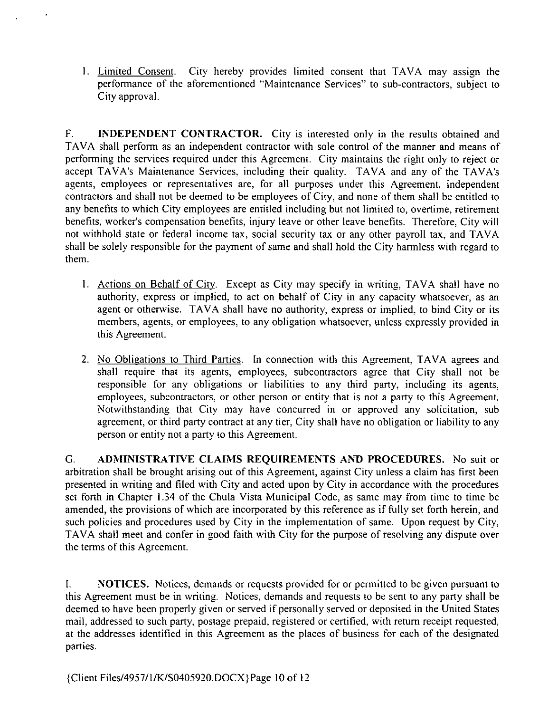1. Limited Consent. Ciry hereby provides limited consent that TAVA may assign the performance of the aforementioned "Maintenance Services" to sub-contractors, subject to City approval.

F. INDEPENDENT CONTRACTOR. City is interested only in the results obtained and TAVA shall perform as an independent contractor with sole control of the manner and means of performing the services required under this Agreement. City maintains the right only to reject or accept TAVA's Maintenance Services, including their quality. TAVA and any of the TAVA's agents, employees or representatives are, for all purposes under this Agreement, independent contractors and shall not be deemed ro be employees of City, and none of them shall be entided to any benefits to which City employees are entitled including but not limited to, overtime, retirement benefits, worker's compensation benefits, injury leave or other leave benefits. Therefore, Ciry will not withhold state or federal income tax, social security tax or any other payroll tax, and TAVA shall be solely responsible for the payment of same and shall hold the City harmless with reeard to them.

- 1. Actions on Behalf of City. Except as City may specify in writing, TAVA shall have no authority, express or implied, to act on behalf of City in any capacity whatsoever, as an agent or otherwise. TAVA shall have no authority, express or implied, to bind City or its members, agents, or employees, to any obligation whatsoever, unless expressly provided in this Agreement.
- 2. No Obligations to Third Parties. In connection with this Agreement, TAVA agrees and shall require that its agents, employees, subcontractors agree that City shall not be responsible for any obligations or liabilities to any third party, including its agents, employees, subcontractors, or other person or entity that is not a party to this Agreement. Notwithstanding that City may have concurred in or approved any solicitation, sub agreement, or third party contract at any tier, City shall have no obligation or liability to any person or entity not a party to this Agreement.

G. ADMINISTRATIVE CLAIMS REQUIREMENTS AND PROCEDURES. No suit or arbitration shall be brought arising out of this Agreement, against City unless a claim has first been presented in writine and filed with City and acted upon by City in accordance with the procedures set forth in Chapter 1. 34 of the Chula Vista Municipal Code, as same may from time to time be amended, the provisions of which are incorporated by this reference as if fully set forth herein, and such policies and procedures used by City in the implementation of same. Upon request by City, TAVA shall meet and confer in good faith with City for the purpose of resolving any dispute over the terms of this Agreement.

L NOTICES. Notices, demands or requests provided for or permitted to be given pursuant to this Aereement must be in writing. Notices, demands and requests to be sent to any party shall be deemed to have been properly given or served if personally served or deposited in the United States mail, addressed to such party, postage prepaid, registered or certified, with return receipt requested, at the addresses identified in this Agreement as the places of business for each of the designated parties.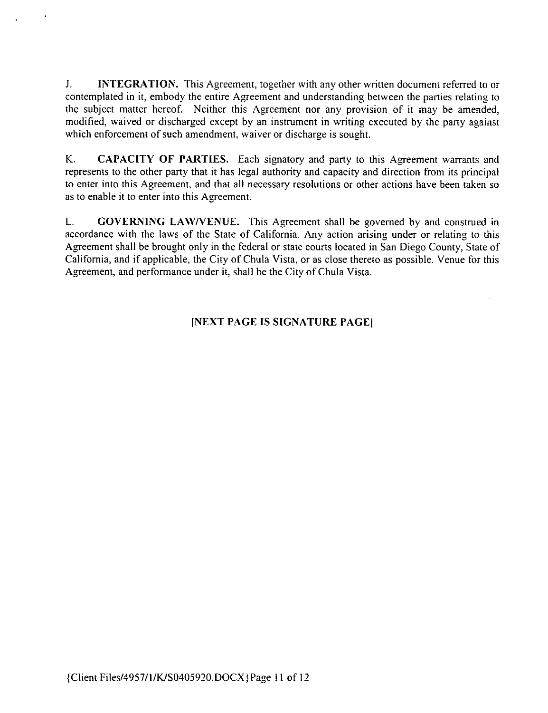J. INTEGRATION. This Agreement, together with any other written document referred to or contemplated in it, embody the entire Agreement and understanding between the parties relating to the subject matter hereof. Neither this Agreement nor any provision of it may be amended, modified, waived or discharged except by an instrument in writing executed by the party against which enforcement of such amendment, waiver or discharge is sought.

K. CAPACITY OF PARTIES. Each signatory and party to this Agreement warrants and represents to the other party that it has legal authority and capacity and direction from its principal to enter into this Agreement, and that all necessary resolutions or other actions have been taken so as to enable it to enter into this Agreement.

L. GOVERNING LAW/VENUE. This Agreement shall be governed by and construed in accordance with the laws of the State of California. Any action arising under or relating to this Agreement shall be brought only in the federal or state courts located in San Diego County, State of Califomia, and if applicable, the City of Chula Vista, or as close thereto as possible. Venue for this Agreement, and performance under it, shall be the City of Chula Vista.

### [NEXT PAGE IS SIGNATURE PAGE]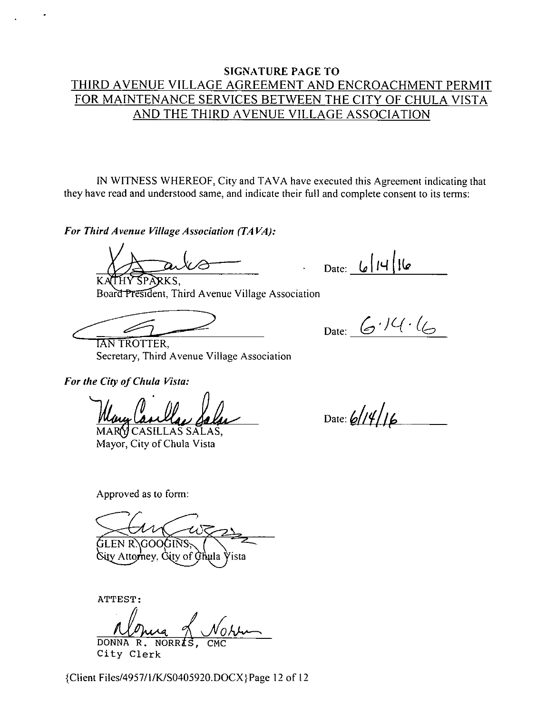### **SIGNATURE PAGE TO** THIRD AVENUE VILLAGE AGREEMENT AND ENCROACHMENT PERMIT FOR MAINTENANCE SERVICES BETWEEN THE CITY OF CHULA VISTA AND THE THIRD AVENUE VILLAGE ASSOCIATION

IN WITNESS WHEREOF, City and TAVA have executed this Agreement indicating that they have read and understood same, and indicate their full and complete consent to its terms:

For Third Avenue Village Association (TAVA):

THY SPARKS.

Date:  $\lfloor |A| \rfloor$  | 14

Date:  $6.14.4$ 

**TAN TROTTER,** Secretary, Third Avenue Village Association

Board President, Third Avenue Village Association

For the City of Chula Vista:

MARY CASILLAS SALAS. Mayor, City of Chula Vista

Approved as to form:

GOOGINS

tv Attornev. Čitv of Čhula Vista

ATTEST:

DONNA R. NORRES City Clerk

{Client Files/4957/1/K/S0405920.DOCX}Page 12 of 12

Date:  $6/14/16$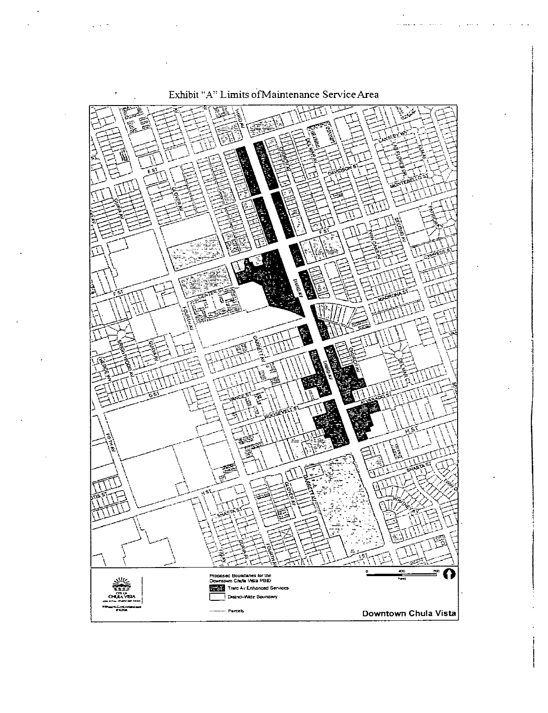

Exhibit "A" Limits of Maintenance Service Area

والموالد ويتبدو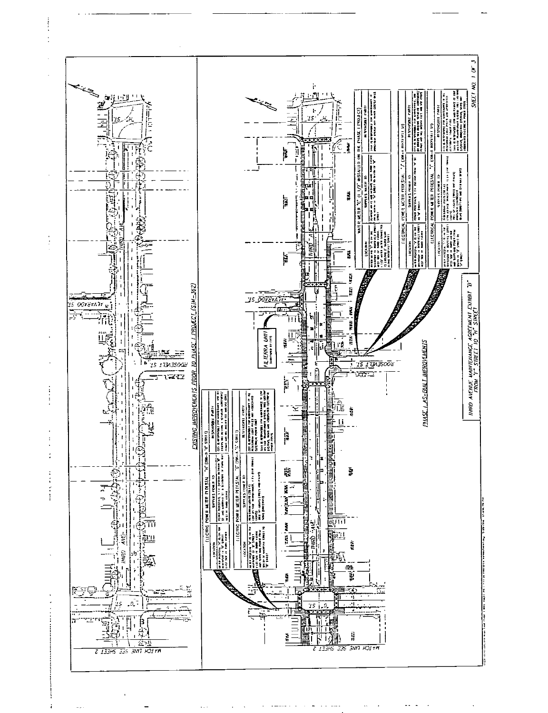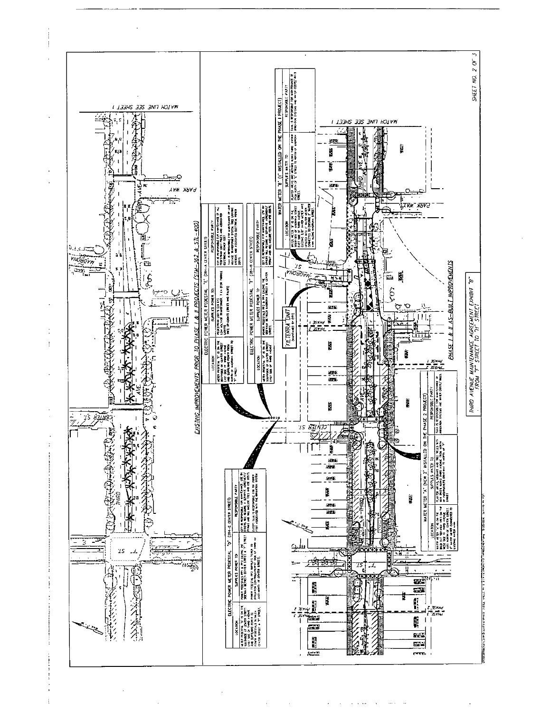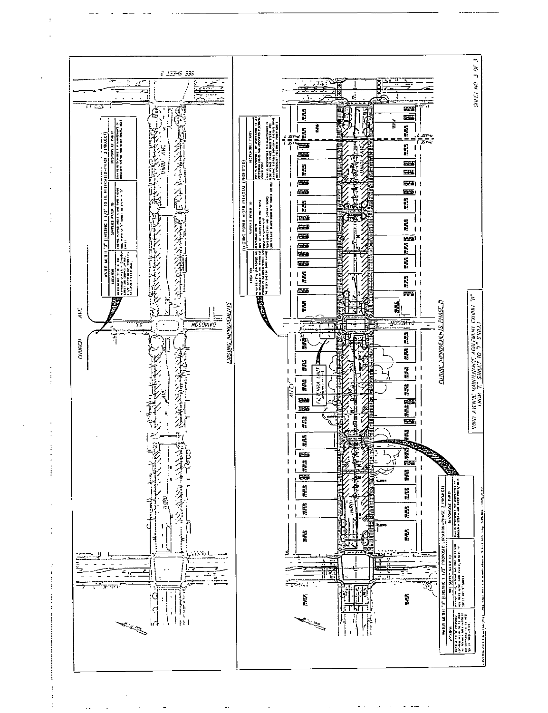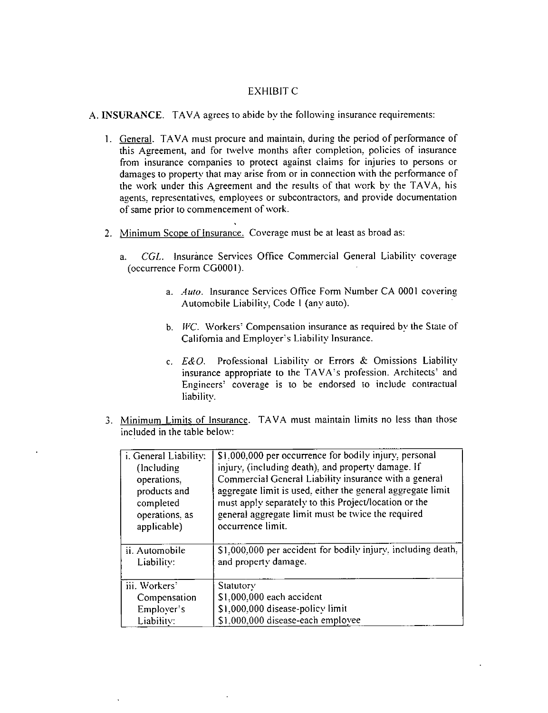#### **EXHIBIT C**

A. INSURANCE. TAVA agrees to abide by the following insurance requirements:

- 1. General. TAVA must procure and maintain, during the period of performance of this Agreement, and for twelve months after completion, policies of insurance from insurance companies to protect against claims for injuries to persons or damages to property that may arise from or in connection with the performance of the work under this Agreement and the results of that work by the TAVA, his agents, representatives, employees or subcontractors, and provide documentation of same prior to commencement of work.
- 2. Minimum Scope of Insurance. Coverage must be at least as broad as:
	- CGL. Insurance Services Office Commercial General Liability coverage a. (occurrence Form CG0001).
		- a. Auto. Insurance Services Office Form Number CA 0001 covering Automobile Liability, Code 1 (any auto).
		- b. WC. Workers' Compensation insurance as required by the State of California and Employer's Liability Insurance.
		- c. E&O. Professional Liability or Errors & Omissions Liability insurance appropriate to the TAVA's profession. Architects' and Engineers' coverage is to be endorsed to include contractual liability.
- 3. Minimum Limits of Insurance. TAVA must maintain limits no less than those included in the table below:

| i. General Liability: | \$1,000,000 per occurrence for bodily injury, personal       |
|-----------------------|--------------------------------------------------------------|
| (Including)           | injury, (including death), and property damage. If           |
| operations.           | Commercial General Liability insurance with a general        |
| products and          | aggregate limit is used, either the general aggregate limit  |
| completed             | must apply separately to this Project/location or the        |
| operations, as        | general aggregate limit must be twice the required           |
| applicable)           | occurrence limit.                                            |
| ii. Automobile        | \$1,000,000 per accident for bodily injury, including death, |
| Liability:            | and property damage.                                         |
| iii. Workers'         | Statutory                                                    |
| Compensation          | \$1,000,000 each accident                                    |
| Employer's            | \$1,000,000 disease-policy limit                             |
| Liability:            | \$1,000,000 disease-each employee                            |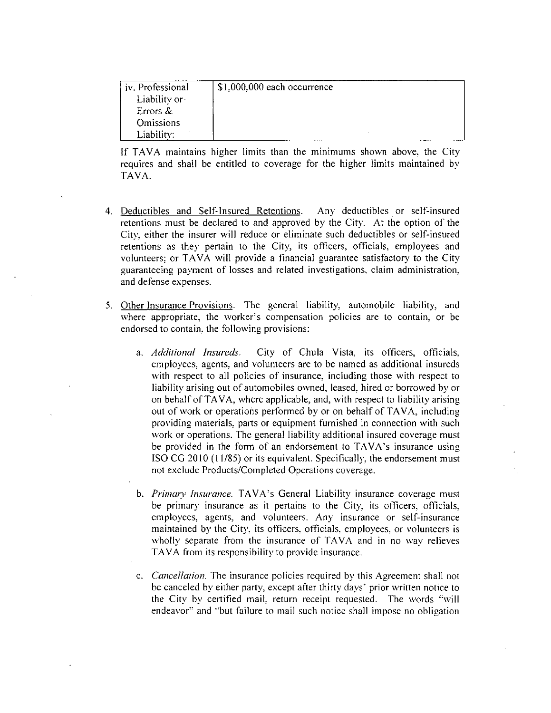| iv. Professional | \$1,000,000 each occurrence |
|------------------|-----------------------------|
| Liability or     |                             |
| Errors $\&$      |                             |
| <b>Omissions</b> |                             |
| Liability:       |                             |

If TAVA maintains hieher limits than the minimums shown above, the City requires and shall be entitled to coverage for the higher limits maintained by TAVA.

- 4. Deductibles and Self-Insured Retentions. Any deductibles or self-insured retentions must be declared to and approved by the City. At the option of the City, either the insurer will reduce or eliminate such deductibles or self-insured retentions as they pertain to the City, its officers, officials, employees and volunteers; or TAVA will provide <sup>a</sup> financial guarantee satisfactory to the City guaranteeing payment of losses and related investigations, claim administration, and defense expenses.
- 5. Other Insurance Provisions. The general liability, automobile liability, and where appropriate, the worker's compensation policies are to contain, or be endorsed to contain, the following provisions:
	- a. Additional Insureds. City of Chula Vista, its officers, officials, employees, agents, and volunteers are to be named as additional insureds with respect to all policies of insurance, including those with respect to liability arising out of automobiles owned, leased, hired or borrowed by or on behalf of TAVA, where applicable, and, with respect to liability arising out of work or operations performed by or on behalf of TAVA, induding providing materials. parts or equipment furnished in connection with such work or operations. The general liability additional insured coverage must be provided in the form of an endorsement to TAVA's insurance using ISO CG 2010 (11/85) or its equivalent. Specifically, the endorsement must not exclude Products/Completed Operations coverage.
	- b. Primary Insurance. TAVA's General Liability insurance coverage must be primary insurance as it pertains to the City, its officers, officials, employees, agents, and volunteers. Any insurance or self-insurance maintained by the City, its officers, officials, employees, or volunteers is wholly separate from the insurance of TAVA and in no way relieves TAVA from its responsibility to provide insurance.
	- c. *Cancellation*. The insurance policies required by this Agreement shall not be canceled by either party, except after thirty days' prior written notice to the City by certified mail. return receipt requested. The words "will endeavor" and "but failure to mail such notice shall impose no obligation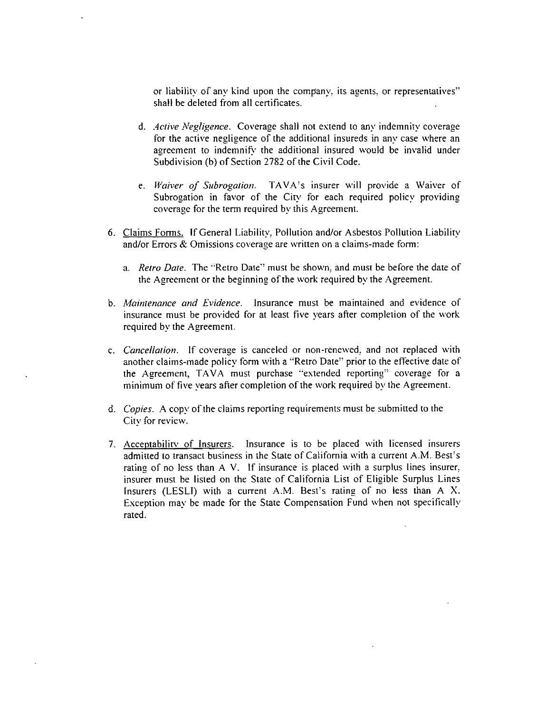or liability of any kind upon the company, its agents, or representatives" shall be deleted from all certificates.

- d. Active Negligence. Coverage shall not extend to any indemnity coverage for the active negligence of the additional insureds in any case where an agreement to indemnify the additional insured would be invalid under Subdivision (b) of Section 2782 of the Civil Code.
- e. Waiver of Subrogation. TAVA's insurer will provide a Waiver of Subrogation in favor of the City for each required policy providing coverage for the term required by this Agreement.
- 6. Claims Forms. If General Liability, Pollution and/or Asbestos Pollution Liability and/or Errors & Omissions coverage are written on a claims-made form:
	- a. Retro Date. The "Retro Date" must be shown, and must be before the date of the Agreement or the beginning of the work required by the Agreement.
- b. Maintenance and Evidence. Insurance must be maintained and evidence of insurance must be provided for at least five years after completion of the work required by the Agreement.
- c. Cancellation. If coverage is canceled or non-renewed, and not replaced with another claims-made policy form with a "Retro Date" prior to the effective date of the Agreement, TAVA must purchase "extended reporting" coverage for a minimum of five vears after completion of the work required by the Agreement.
- d. Copies. A copy of the claims reporting requirements must be submitted to the City for review.
- 7. Acceptability of Insurers. Insurance is to be placed with licensed insurers admitted to transact business in the State of California with a current A.M. Best's rating of no less than A V. If insurance is placed with a surplus lines insurer, insurer must be listed on the State of California List of Eligible Surplus Lines Insurers (LESLI) with a current A.M. Best's rating of no less than A X. Exception may be made for the State Compensation Fund when not specifically rated.